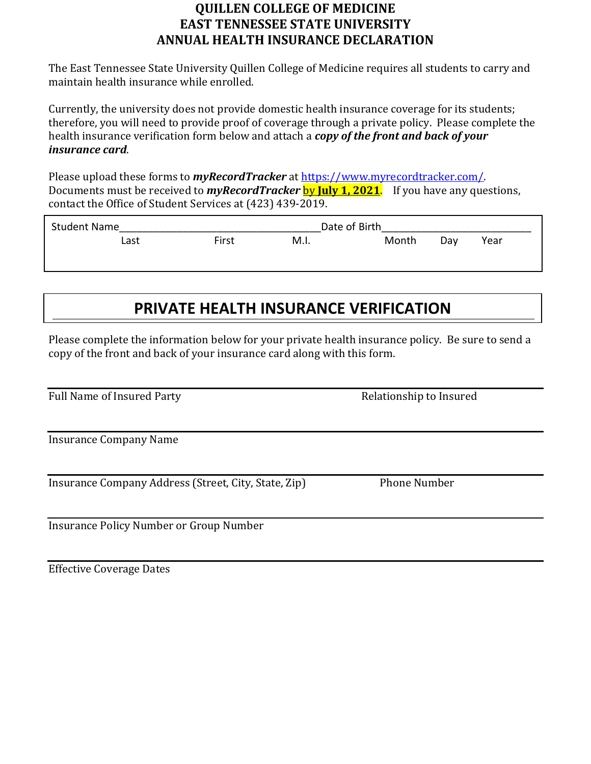## **QUILLEN COLLEGE OF MEDICINE EAST TENNESSEE STATE UNIVERSITY ANNUAL HEALTH INSURANCE DECLARATION**

The East Tennessee State University Quillen College of Medicine requires all students to carry and maintain health insurance while enrolled.

Currently, the university does not provide domestic health insurance coverage for its students; therefore, you will need to provide proof of coverage through a private policy. Please complete the health insurance verification form below and attach a *copy of the front and back of your insurance card*.

Please upload these forms to *myRecordTracker* at [https://www.myrecordtracker.com/.](https://www.myrecordtracker.com/)  Documents must be received to *myRecordTracker* by **July 1, 2021**. If you have any questions, contact the Office of Student Services at (423) 439-2019.

| <b>Student Name</b> |      |       |      | Date of Birth |     |      |  |
|---------------------|------|-------|------|---------------|-----|------|--|
|                     | Last | First | M.I. | Month         | Dav | Year |  |
|                     |      |       |      |               |     |      |  |

## **PRIVATE HEALTH INSURANCE VERIFICATION**

Please complete the information below for your private health insurance policy. Be sure to send a copy of the front and back of your insurance card along with this form.

| Full Name of Insured Party |
|----------------------------|
|----------------------------|

Insurance Company Name

Insurance Company Address (Street, City, State, Zip) Phone Number

Insurance Policy Number or Group Number

Effective Coverage Dates

Relationship to Insured